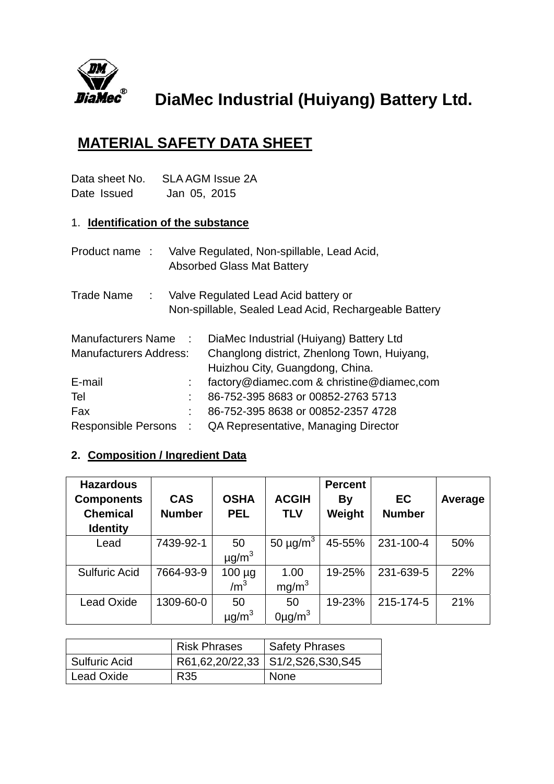

# **DiaMec Industrial (Huiyang) Battery Ltd.**

## **MATERIAL SAFETY DATA SHEET**

| Data sheet No. | SLA AGM Issue 2A |
|----------------|------------------|
| Date Issued    | Jan 05, 2015     |

## 1. **Identification of the substance**

| Product name:                                              |    |           | Valve Regulated, Non-spillable, Lead Acid,<br><b>Absorbed Glass Mat Battery</b>               |
|------------------------------------------------------------|----|-----------|-----------------------------------------------------------------------------------------------|
| <b>Trade Name</b>                                          | ÷. |           | Valve Regulated Lead Acid battery or<br>Non-spillable, Sealed Lead Acid, Rechargeable Battery |
| <b>Manufacturers Name</b><br><b>Manufacturers Address:</b> |    | $\sim$ 1. | DiaMec Industrial (Huiyang) Battery Ltd<br>Changlong district, Zhenlong Town, Huiyang,        |
|                                                            |    |           | Huizhou City, Guangdong, China.                                                               |
| E-mail                                                     |    |           | factory@diamec.com & christine@diamec.com                                                     |
| Tel                                                        |    |           | 86-752-395 8683 or 00852-2763 5713                                                            |
| Fax                                                        |    |           | 86-752-395 8638 or 00852-2357 4728                                                            |
| <b>Responsible Persons</b>                                 |    | ÷         | QA Representative, Managing Director                                                          |

## **2. Composition / Ingredient Data**

| <b>Hazardous</b><br><b>Components</b><br><b>Chemical</b><br><b>Identity</b> | <b>CAS</b><br><b>Number</b> | <b>OSHA</b><br><b>PEL</b>    | <b>ACGIH</b><br><b>TLV</b> | <b>Percent</b><br><b>By</b><br>Weight | <b>EC</b><br><b>Number</b> | Average |
|-----------------------------------------------------------------------------|-----------------------------|------------------------------|----------------------------|---------------------------------------|----------------------------|---------|
| Lead                                                                        | 7439-92-1                   | 50<br>$\mu$ g/m <sup>3</sup> | 50 $\mu$ g/m <sup>3</sup>  | 45-55%                                | 231-100-4                  | 50%     |
| <b>Sulfuric Acid</b>                                                        | 7664-93-9                   | $100 \mu g$<br>$\rm /m^3$    | 1.00<br>mg/m <sup>3</sup>  | 19-25%                                | 231-639-5                  | 22%     |
| <b>Lead Oxide</b>                                                           | 1309-60-0                   | 50<br>$\mu$ g/m <sup>3</sup> | 50<br>$0 \mu g/m^3$        | 19-23%                                | 215-174-5                  | 21%     |

|                      | <b>Risk Phrases</b> | <b>Safety Phrases</b>              |
|----------------------|---------------------|------------------------------------|
| <b>Sulfuric Acid</b> |                     | R61,62,20/22,33   S1/2,S26,S30,S45 |
| <b>Lead Oxide</b>    | R <sub>35</sub>     | None                               |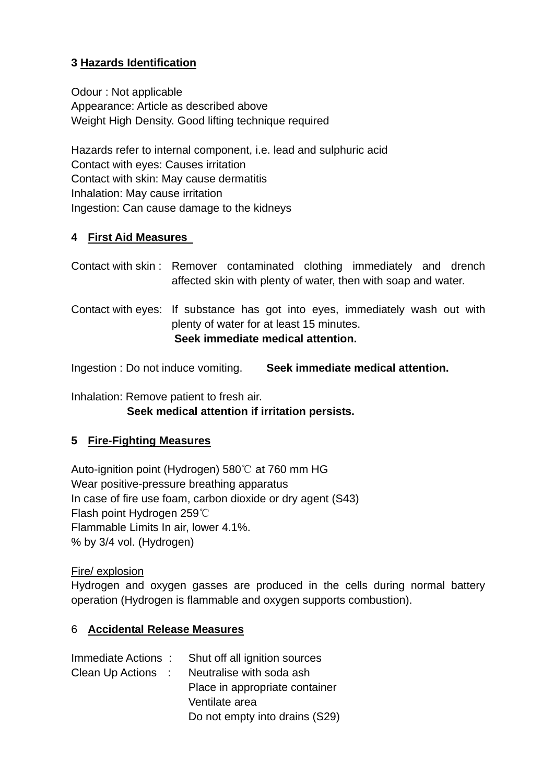## **3 Hazards Identification**

Odour : Not applicable Appearance: Article as described above Weight High Density. Good lifting technique required

Hazards refer to internal component, i.e. lead and sulphuric acid Contact with eyes: Causes irritation Contact with skin: May cause dermatitis Inhalation: May cause irritation Ingestion: Can cause damage to the kidneys

## **4 First Aid Measures**

Contact with skin : Remover contaminated clothing immediately and drench affected skin with plenty of water, then with soap and water.

Contact with eyes: If substance has got into eyes, immediately wash out with plenty of water for at least 15 minutes. **Seek immediate medical attention.** 

Ingestion : Do not induce vomiting. **Seek immediate medical attention.** 

Inhalation: Remove patient to fresh air.

**Seek medical attention if irritation persists.** 

## **5 Fire-Fighting Measures**

Auto-ignition point (Hydrogen) 580 $\degree$ C at 760 mm HG Wear positive-pressure breathing apparatus In case of fire use foam, carbon dioxide or dry agent (S43) Flash point Hydrogen 259℃ Flammable Limits In air, lower 4.1%. % by 3/4 vol. (Hydrogen)

Fire/ explosion

Hydrogen and oxygen gasses are produced in the cells during normal battery operation (Hydrogen is flammable and oxygen supports combustion).

## 6 **Accidental Release Measures**

| Immediate Actions: | Shut off all ignition sources  |
|--------------------|--------------------------------|
| Clean Up Actions : | Neutralise with soda ash       |
|                    | Place in appropriate container |
|                    | Ventilate area                 |
|                    | Do not empty into drains (S29) |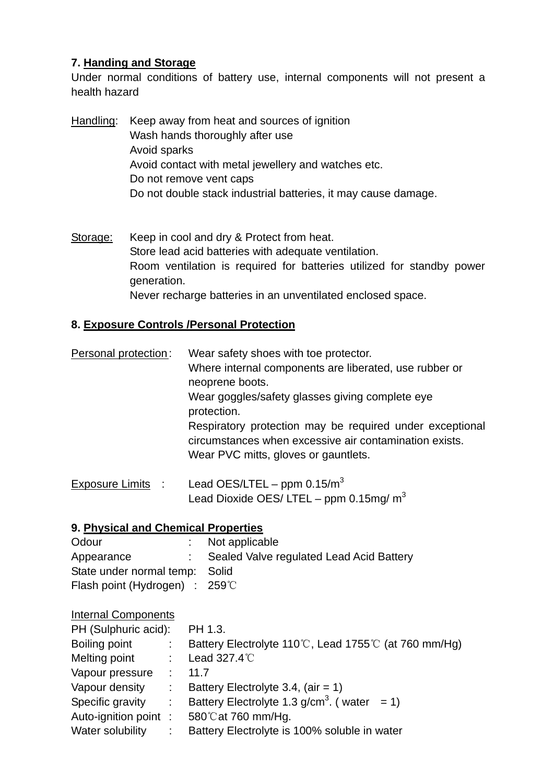## **7. Handing and Storage**

Under normal conditions of battery use, internal components will not present a health hazard

Handling: Keep away from heat and sources of ignition Wash hands thoroughly after use Avoid sparks Avoid contact with metal jewellery and watches etc. Do not remove vent caps Do not double stack industrial batteries, it may cause damage.

Storage: Keep in cool and dry & Protect from heat. Store lead acid batteries with adequate ventilation. Room ventilation is required for batteries utilized for standby power generation. Never recharge batteries in an unventilated enclosed space.

## **8. Exposure Controls /Personal Protection**

| Personal protection:                 | Wear safety shoes with toe protector.<br>Where internal components are liberated, use rubber or<br>neoprene boots.<br>Wear goggles/safety glasses giving complete eye<br>protection.<br>Respiratory protection may be required under exceptional<br>circumstances when excessive air contamination exists.<br>Wear PVC mitts, gloves or gauntlets. |
|--------------------------------------|----------------------------------------------------------------------------------------------------------------------------------------------------------------------------------------------------------------------------------------------------------------------------------------------------------------------------------------------------|
| $E_{VDOCIITO}$ l imite $\rightarrow$ | $n \cdot 0.15/m^3$<br>$L_{\odot}$ od OES/LTEL                                                                                                                                                                                                                                                                                                      |

| <b>Exposure Limits</b> : | Lead OES/LTEL – ppm $0.15/m3$            |
|--------------------------|------------------------------------------|
|                          | Lead Dioxide OES/LTEL – ppm 0.15mg/ $m3$ |

#### **9. Physical and Chemical Properties**

| Odour                                    | $:$ Not applicable                       |
|------------------------------------------|------------------------------------------|
| Appearance                               | Sealed Valve regulated Lead Acid Battery |
| State under normal temp: Solid           |                                          |
| Flash point (Hydrogen) : $259^{\circ}$ C |                                          |

| <b>Internal Components</b> |                             |                                                       |
|----------------------------|-----------------------------|-------------------------------------------------------|
| PH (Sulphuric acid):       |                             | PH 1.3.                                               |
| Boiling point              |                             | Battery Electrolyte 110°C, Lead 1755°C (at 760 mm/Hg) |
| Melting point              | $\mathcal{L}_{\mathcal{A}}$ | Lead 327.4°C                                          |
| Vapour pressure            | У.,                         | 11.7                                                  |
| Vapour density             | ÷.                          | Battery Electrolyte 3.4, (air $= 1$ )                 |
| Specific gravity           | $\mathbb{R}^{\mathbb{Z}}$   | Battery Electrolyte 1.3 $g/cm3$ . (water = 1)         |
| Auto-ignition point:       |                             | 580℃ at 760 mm/Hg.                                    |
| Water solubility           | ÷                           | Battery Electrolyte is 100% soluble in water          |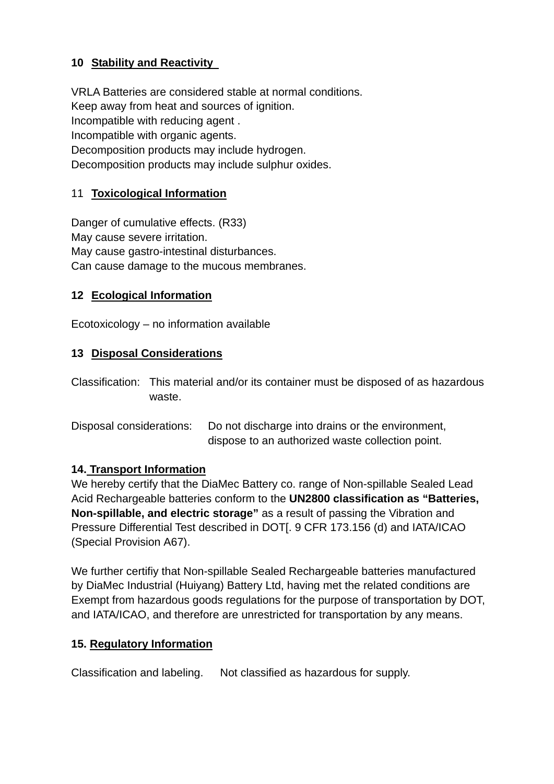## **10 Stability and Reactivity**

VRLA Batteries are considered stable at normal conditions. Keep away from heat and sources of ignition. Incompatible with reducing agent . Incompatible with organic agents. Decomposition products may include hydrogen. Decomposition products may include sulphur oxides.

#### 11 **Toxicological Information**

Danger of cumulative effects. (R33) May cause severe irritation. May cause gastro-intestinal disturbances. Can cause damage to the mucous membranes.

#### **12 Ecological Information**

Ecotoxicology – no information available

#### **13 Disposal Considerations**

Classification: This material and/or its container must be disposed of as hazardous waste.

| Disposal considerations: | Do not discharge into drains or the environment, |
|--------------------------|--------------------------------------------------|
|                          | dispose to an authorized waste collection point. |

#### **14. Transport Information**

We hereby certify that the DiaMec Battery co. range of Non-spillable Sealed Lead Acid Rechargeable batteries conform to the **UN2800 classification as "Batteries, Non-spillable, and electric storage"** as a result of passing the Vibration and Pressure Differential Test described in DOTI, 9 CFR 173,156 (d) and IATA/ICAO (Special Provision A67).

We further certifiy that Non-spillable Sealed Rechargeable batteries manufactured by DiaMec Industrial (Huiyang) Battery Ltd, having met the related conditions are Exempt from hazardous goods regulations for the purpose of transportation by DOT, and IATA/ICAO, and therefore are unrestricted for transportation by any means.

#### **15. Regulatory Information**

Classification and labeling. Not classified as hazardous for supply.